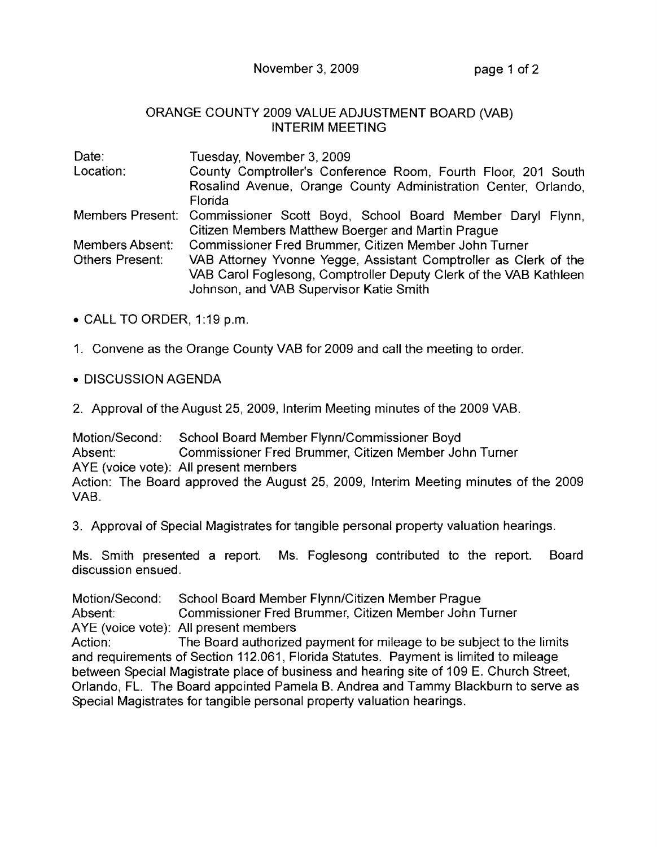November 3, 2009 page 1 of 2

## ORANGE COUNTY 2009 VALUE ADJUSTMENT BOARD (VAB) INTERIM MEETING

| Date:           | Tuesday, November 3, 2009                                                  |
|-----------------|----------------------------------------------------------------------------|
| Location:       | County Comptroller's Conference Room, Fourth Floor, 201 South              |
|                 | Rosalind Avenue, Orange County Administration Center, Orlando,             |
|                 | Florida                                                                    |
|                 | Members Present: Commissioner Scott Boyd, School Board Member Daryl Flynn, |
|                 | Citizen Members Matthew Boerger and Martin Prague                          |
| Members Absent: | Commissioner Fred Brummer, Citizen Member John Turner                      |
| Others Present: | VAB Attorney Yvonne Yegge, Assistant Comptroller as Clerk of the           |
|                 | VAB Carol Foglesong, Comptroller Deputy Clerk of the VAB Kathleen          |
|                 | Johnson, and VAB Supervisor Katie Smith                                    |

- CALL TO ORDER, 1 :19 p.m.
- 1. Convene as the Orange County VAB for 2009 and call the meeting to order .
- DISCUSSION AGENDA
- 2. Approval of the August 25, 2009, Interim Meeting minutes of the 2009 VAB.

Motion/Second: School Board Member Flynn/Commissioner Boyd Absent: Commissioner Fred Brummer, Citizen Member John Turner AYE (voice vote): All present members Action: The Board approved the August 25, 2009, Interim Meeting minutes of the 2009 VAB.

3. Approval of Special Magistrates for tangible personal property valuation hearings.

Ms. Smith presented a report. Ms. Foglesong contributed to the report. Board discussion ensued.

Motion/Second: School Board Member Flynn/Citizen Member Prague Absent: Commissioner Fred Brummer, Citizen Member John Turner AYE (voice vote): All present members Action: The Board authorized payment for mileage to be subject to the limits and requirements of Section 112.061, Florida Statutes. Payment is limited to mileage between Special Magistrate place of business and hearing site of 109 E. Church Street, Orlando, FL. The Board appointed Pamela B. Andrea and Tammy Blackburn to serve as Special Magistrates for tangible personal property valuation hearings.